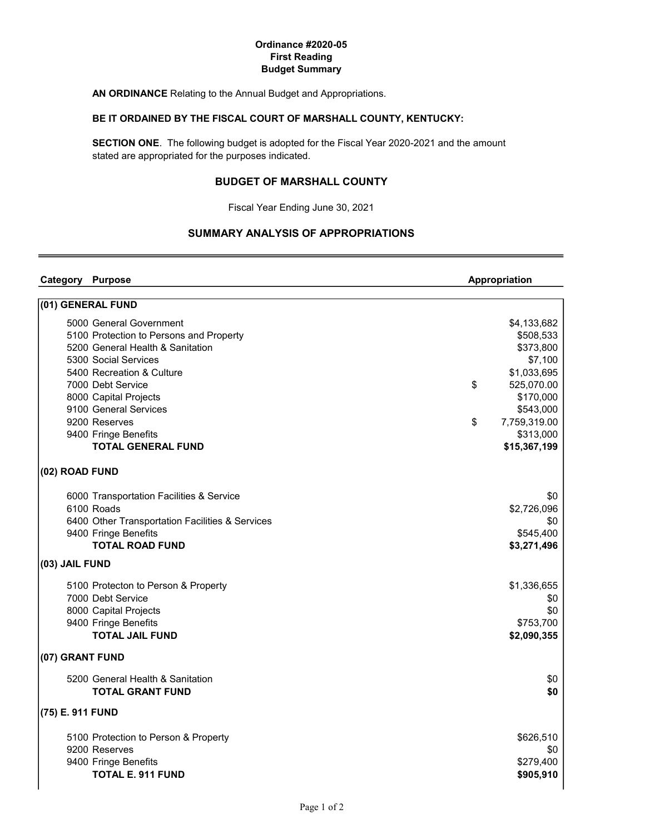### Ordinance #2020-05 First Reading Budget Summary

AN ORDINANCE Relating to the Annual Budget and Appropriations.

## BE IT ORDAINED BY THE FISCAL COURT OF MARSHALL COUNTY, KENTUCKY:

SECTION ONE. The following budget is adopted for the Fiscal Year 2020-2021 and the amount stated are appropriated for the purposes indicated.

# BUDGET OF MARSHALL COUNTY

Fiscal Year Ending June 30, 2021

# SUMMARY ANALYSIS OF APPROPRIATIONS

| <b>Category Purpose</b> |                                                 | Appropriation      |
|-------------------------|-------------------------------------------------|--------------------|
|                         | (01) GENERAL FUND                               |                    |
|                         | 5000 General Government                         | \$4,133,682        |
|                         | 5100 Protection to Persons and Property         | \$508,533          |
|                         | 5200 General Health & Sanitation                | \$373,800          |
|                         | 5300 Social Services                            | \$7,100            |
|                         | 5400 Recreation & Culture                       | \$1,033,695        |
|                         | 7000 Debt Service                               | \$<br>525,070.00   |
|                         | 8000 Capital Projects                           | \$170,000          |
|                         | 9100 General Services                           | \$543,000          |
|                         | 9200 Reserves                                   | \$<br>7,759,319.00 |
|                         | 9400 Fringe Benefits                            | \$313,000          |
|                         | <b>TOTAL GENERAL FUND</b>                       | \$15,367,199       |
| (02) ROAD FUND          |                                                 |                    |
|                         | 6000 Transportation Facilities & Service        | \$0                |
|                         | 6100 Roads                                      | \$2,726,096        |
|                         | 6400 Other Transportation Facilities & Services | \$0                |
|                         | 9400 Fringe Benefits                            | \$545,400          |
|                         | <b>TOTAL ROAD FUND</b>                          | \$3,271,496        |
| (03) JAIL FUND          |                                                 |                    |
|                         | 5100 Protecton to Person & Property             | \$1,336,655        |
|                         | 7000 Debt Service                               | \$0                |
|                         | 8000 Capital Projects                           | \$0                |
|                         | 9400 Fringe Benefits                            | \$753,700          |
|                         | <b>TOTAL JAIL FUND</b>                          | \$2,090,355        |
| (07) GRANT FUND         |                                                 |                    |
|                         | 5200 General Health & Sanitation                | \$0                |
|                         | <b>TOTAL GRANT FUND</b>                         | \$0                |
| (75) E. 911 FUND        |                                                 |                    |
|                         | 5100 Protection to Person & Property            | \$626,510          |
|                         | 9200 Reserves                                   | \$0                |
|                         | 9400 Fringe Benefits                            | \$279,400          |
|                         | <b>TOTAL E. 911 FUND</b>                        | \$905,910          |
|                         |                                                 |                    |